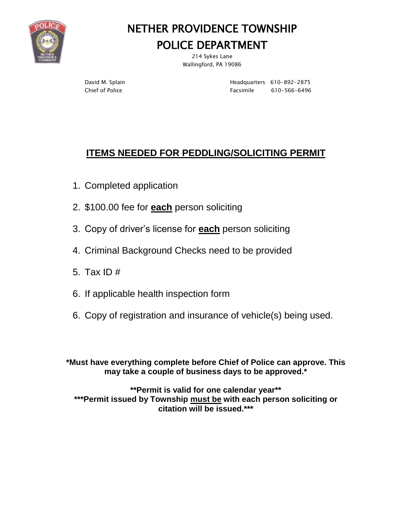

# NETHER PROVIDENCE TOWNSHIP

## POLICE DEPARTMENT

214 Sykes Lane Wallingford, PA 19086

David M. Splain **Headquarters** 610-892-2875 Chief of Police **Facsimile** 610-566-6496

## **ITEMS NEEDED FOR PEDDLING/SOLICITING PERMIT**

- 1. Completed application
- 2. \$100.00 fee for **each** person soliciting
- 3. Copy of driver's license for **each** person soliciting
- 4. Criminal Background Checks need to be provided
- 5. Tax ID #
- 6. If applicable health inspection form
- 6. Copy of registration and insurance of vehicle(s) being used.

**\*Must have everything complete before Chief of Police can approve. This may take a couple of business days to be approved.\***

**\*\*Permit is valid for one calendar year\*\* \*\*\*Permit issued by Township must be with each person soliciting or citation will be issued.\*\*\***